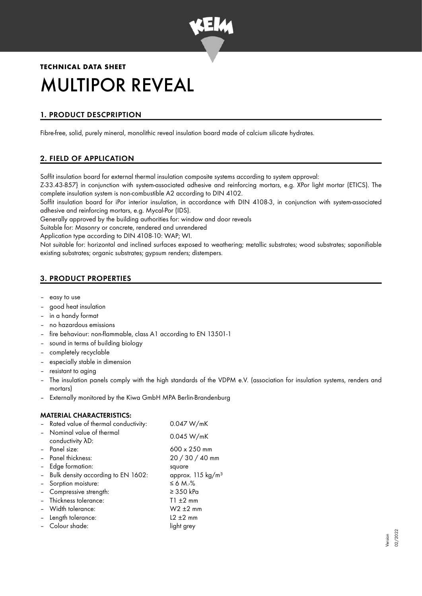

# **TECHNICAL DATA SHEET** MULTIPOR REVEAL

# 1. PRODUCT DESCPRIPTION

Fibre-free, solid, purely mineral, monolithic reveal insulation board made of calcium silicate hydrates.

# 2. FIELD OF APPLICATION

Soffit insulation board for external thermal insulation composite systems according to system approval:

Z-33.43-857} in conjunction with system-associated adhesive and reinforcing mortars, e.g. XPor light mortar (ETICS). The complete insulation system is non-combustible A2 according to DIN 4102.

Soffit insulation board for iPor interior insulation, in accordance with DIN 4108-3, in conjunction with system-associated adhesive and reinforcing mortars, e.g. Mycal-Por (IDS).

Generally approved by the building authorities for: window and door reveals

Suitable for: Masonry or concrete, rendered and unrendered

Application type according to DIN 4108-10: WAP; WI.

Not suitable for: horizontal and inclined surfaces exposed to weathering; metallic substrates; wood substrates; saponifiable existing substrates; organic substrates; gypsum renders; distempers.

## 3. PRODUCT PROPERTIES

- easy to use
- good heat insulation
- in a handy format
- no hazardous emissions
- fire behaviour: non-flammable, class A1 according to EN 13501-1
- sound in terms of building biology
- completely recyclable
- especially stable in dimension
- resistant to aging
- The insulation panels comply with the high standards of the VDPM e.V. (association for insulation systems, renders and mortars)
- Externally monitored by the Kiwa GmbH MPA Berlin-Brandenburg

### MATERIAL CHARACTERISTICS:

| - Rated value of thermal conductivity:         | 0.047 W/mK                    |
|------------------------------------------------|-------------------------------|
| - Nominal value of thermal<br>conductivity AD: | 0.045 W/mK                    |
| - Panel size:                                  | 600 x 250 mm                  |
| - Panel thickness:                             | 20 / 30 / 40 mm               |
| Edge formation:                                | square                        |
| - Bulk density according to EN 1602:           | approx. 115 kg/m <sup>3</sup> |
| - Sorption moisture:                           | $\leq 6$ M. $\frac{9}{6}$     |
| - Compressive strength:                        | $\geq$ 350 kPa                |
| - Thickness tolerance:                         | $T1 + 2$ mm                   |
| - Width tolerance:                             | $W2 \pm 2$ mm                 |
| Length tolerance:                              | $12 \pm 2$ mm                 |
| Colour shade:                                  | light grey                    |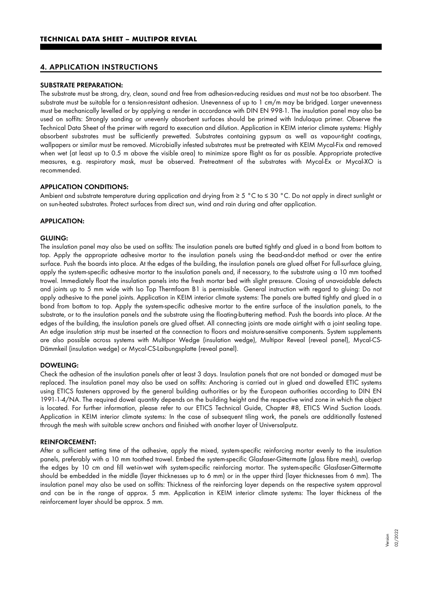#### 4. APPLICATION INSTRUCTIONS

#### SUBSTRATE PREPARATION:

The substrate must be strong, dry, clean, sound and free from adhesion-reducing residues and must not be too absorbent. The substrate must be suitable for a tension-resistant adhesion. Unevenness of up to 1 cm/m may be bridged. Larger unevenness must be mechanically levelled or by applying a render in accordance with DIN EN 998-1. The insulation panel may also be used on soffits: Strongly sanding or unevenly absorbent surfaces should be primed with Indulaqua primer. Observe the Technical Data Sheet of the primer with regard to execution and dilution. Application in KEIM interior climate systems: Highly absorbent substrates must be sufficiently prewetted. Substrates containing gypsum as well as vapour-tight coatings, wallpapers or similar must be removed. Microbially infested substrates must be pretreated with KEIM Mycal-Fix and removed when wet (at least up to 0.5 m above the visible area) to minimize spore flight as far as possible. Appropriate protective measures, e.g. respiratory mask, must be observed. Pretreatment of the substrates with Mycal-Ex or Mycal-XO is recommended.

#### APPLICATION CONDITIONS:

Ambient and substrate temperature during application and drying from ≥ 5 °C to ≤ 30 °C. Do not apply in direct sunlight or on sun-heated substrates. Protect surfaces from direct sun, wind and rain during and after application.

#### APPLICATION:

#### GLUING:

The insulation panel may also be used on soffits: The insulation panels are butted tightly and glued in a bond from bottom to top. Apply the appropriate adhesive mortar to the insulation panels using the bead-and-dot method or over the entire surface. Push the boards into place. At the edges of the building, the insulation panels are glued offset For full-surface gluing, apply the system-specific adhesive mortar to the insulation panels and, if necessary, to the substrate using a 10 mm toothed trowel. Immediately float the insulation panels into the fresh mortar bed with slight pressure. Closing of unavoidable defects and joints up to 5 mm wide with Iso Top Thermfoam B1 is permissible. General instruction with regard to gluing: Do not apply adhesive to the panel joints. Application in KEIM interior climate systems: The panels are butted tightly and glued in a bond from bottom to top. Apply the system-specific adhesive mortar to the entire surface of the insulation panels, to the substrate, or to the insulation panels and the substrate using the floating-buttering method. Push the boards into place. At the edges of the building, the insulation panels are glued offset. All connecting joints are made airtight with a joint sealing tape. An edge insulation strip must be inserted at the connection to floors and moisture-sensitive components. System supplements are also possible across systems with Multipor Wedge (insulation wedge), Multipor Reveal (reveal panel), Mycal-CS-Dämmkeil (insulation wedge) or Mycal-CS-Laibungsplatte (reveal panel).

#### DOWELING:

Check the adhesion of the insulation panels after at least 3 days. Insulation panels that are not bonded or damaged must be replaced. The insulation panel may also be used on soffits: Anchoring is carried out in glued and dowelled ETIC systems using ETICS fasteners approved by the general building authorities or by the European authorities according to DIN EN 1991-1-4/NA. The required dowel quantity depends on the building height and the respective wind zone in which the object is located. For further information, please refer to our ETICS Technical Guide, Chapter #8, ETICS Wind Suction Loads. Application in KEIM interior climate systems: In the case of subsequent tiling work, the panels are additionally fastened through the mesh with suitable screw anchors and finished with another layer of Universalputz.

#### REINFORCEMENT:

After a sufficient setting time of the adhesive, apply the mixed, system-specific reinforcing mortar evenly to the insulation panels, preferably with a 10 mm toothed trowel. Embed the system-specific Glasfaser-Gittermatte (glass fibre mesh), overlap the edges by 10 cm and fill wet-in-wet with system-specific reinforcing mortar. The system-specific Glasfaser-Gittermatte should be embedded in the middle (layer thicknesses up to 6 mm) or in the upper third (layer thicknesses from 6 mm). The insulation panel may also be used on soffits: Thickness of the reinforcing layer depends on the respective system approval and can be in the range of approx. 5 mm. Application in KEIM interior climate systems: The layer thickness of the reinforcement layer should be approx. 5 mm.